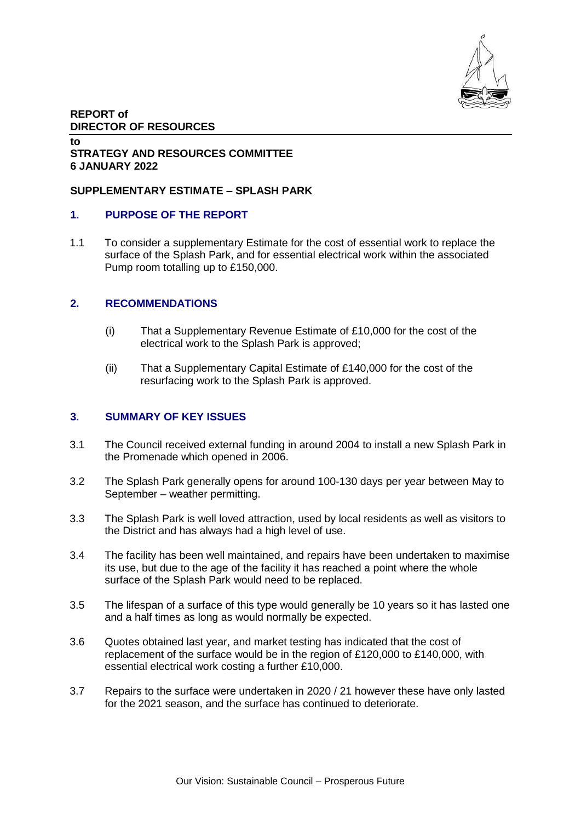

### **REPORT of DIRECTOR OF RESOURCES**

#### **to STRATEGY AND RESOURCES COMMITTEE 6 JANUARY 2022**

# **SUPPLEMENTARY ESTIMATE – SPLASH PARK**

# **1. PURPOSE OF THE REPORT**

1.1 To consider a supplementary Estimate for the cost of essential work to replace the surface of the Splash Park, and for essential electrical work within the associated Pump room totalling up to £150,000.

### **2. RECOMMENDATIONS**

- (i) That a Supplementary Revenue Estimate of £10,000 for the cost of the electrical work to the Splash Park is approved;
- (ii) That a Supplementary Capital Estimate of £140,000 for the cost of the resurfacing work to the Splash Park is approved.

### **3. SUMMARY OF KEY ISSUES**

- 3.1 The Council received external funding in around 2004 to install a new Splash Park in the Promenade which opened in 2006.
- 3.2 The Splash Park generally opens for around 100-130 days per year between May to September – weather permitting.
- 3.3 The Splash Park is well loved attraction, used by local residents as well as visitors to the District and has always had a high level of use.
- 3.4 The facility has been well maintained, and repairs have been undertaken to maximise its use, but due to the age of the facility it has reached a point where the whole surface of the Splash Park would need to be replaced.
- 3.5 The lifespan of a surface of this type would generally be 10 years so it has lasted one and a half times as long as would normally be expected.
- 3.6 Quotes obtained last year, and market testing has indicated that the cost of replacement of the surface would be in the region of £120,000 to £140,000, with essential electrical work costing a further £10,000.
- 3.7 Repairs to the surface were undertaken in 2020 / 21 however these have only lasted for the 2021 season, and the surface has continued to deteriorate.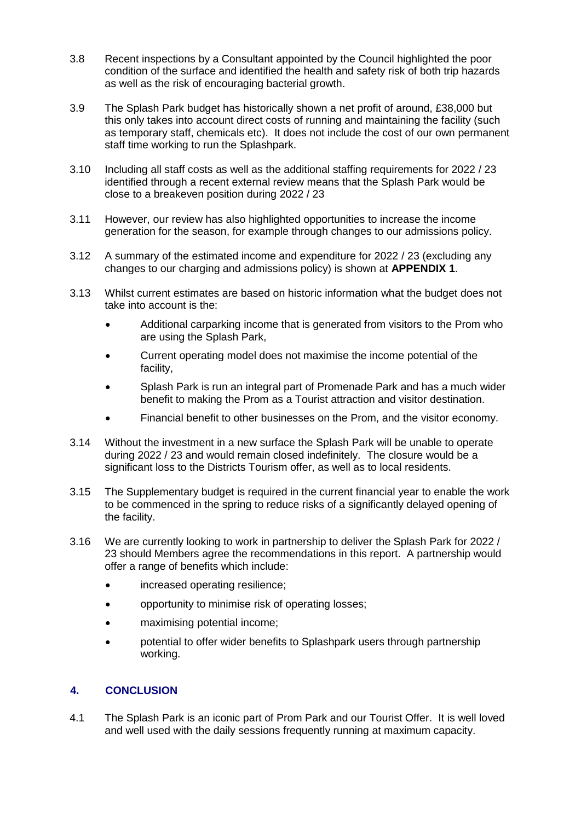- 3.8 Recent inspections by a Consultant appointed by the Council highlighted the poor condition of the surface and identified the health and safety risk of both trip hazards as well as the risk of encouraging bacterial growth.
- 3.9 The Splash Park budget has historically shown a net profit of around, £38,000 but this only takes into account direct costs of running and maintaining the facility (such as temporary staff, chemicals etc). It does not include the cost of our own permanent staff time working to run the Splashpark.
- 3.10 Including all staff costs as well as the additional staffing requirements for 2022 / 23 identified through a recent external review means that the Splash Park would be close to a breakeven position during 2022 / 23
- 3.11 However, our review has also highlighted opportunities to increase the income generation for the season, for example through changes to our admissions policy.
- 3.12 A summary of the estimated income and expenditure for 2022 / 23 (excluding any changes to our charging and admissions policy) is shown at **APPENDIX 1**.
- 3.13 Whilst current estimates are based on historic information what the budget does not take into account is the:
	- Additional carparking income that is generated from visitors to the Prom who are using the Splash Park,
	- Current operating model does not maximise the income potential of the facility,
	- Splash Park is run an integral part of Promenade Park and has a much wider benefit to making the Prom as a Tourist attraction and visitor destination.
	- Financial benefit to other businesses on the Prom, and the visitor economy.
- 3.14 Without the investment in a new surface the Splash Park will be unable to operate during 2022 / 23 and would remain closed indefinitely. The closure would be a significant loss to the Districts Tourism offer, as well as to local residents.
- 3.15 The Supplementary budget is required in the current financial year to enable the work to be commenced in the spring to reduce risks of a significantly delayed opening of the facility.
- 3.16 We are currently looking to work in partnership to deliver the Splash Park for 2022 / 23 should Members agree the recommendations in this report. A partnership would offer a range of benefits which include:
	- increased operating resilience;
	- opportunity to minimise risk of operating losses;
	- maximising potential income;
	- potential to offer wider benefits to Splashpark users through partnership working.

# **4. CONCLUSION**

4.1 The Splash Park is an iconic part of Prom Park and our Tourist Offer. It is well loved and well used with the daily sessions frequently running at maximum capacity.